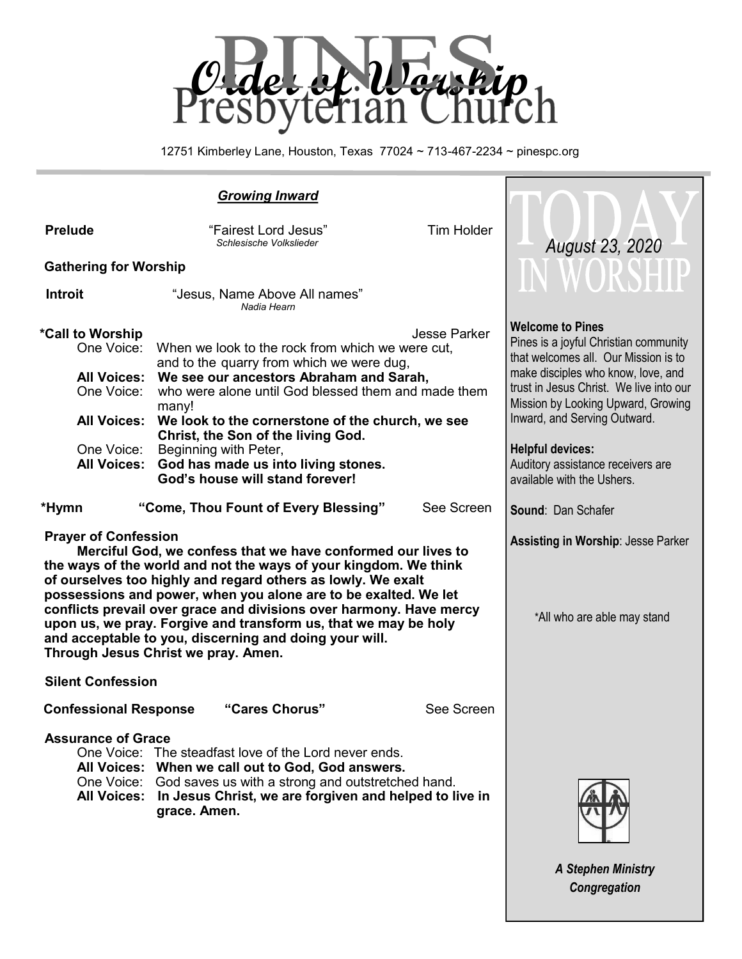

12751 Kimberley Lane, Houston, Texas 77024 ~ 713-467-2234 ~ pinespc.org

| <b>Growing Inward</b>                                                                                                                                                                                                                                                                                                                                                                                                                                                                                                                         |                                                                                                                                                                                                                                                                                                                                                                                                       |                                          |                                                                                                                                                                                                                                                                                                                                                               |
|-----------------------------------------------------------------------------------------------------------------------------------------------------------------------------------------------------------------------------------------------------------------------------------------------------------------------------------------------------------------------------------------------------------------------------------------------------------------------------------------------------------------------------------------------|-------------------------------------------------------------------------------------------------------------------------------------------------------------------------------------------------------------------------------------------------------------------------------------------------------------------------------------------------------------------------------------------------------|------------------------------------------|---------------------------------------------------------------------------------------------------------------------------------------------------------------------------------------------------------------------------------------------------------------------------------------------------------------------------------------------------------------|
| <b>Tim Holder</b><br><b>Prelude</b><br>"Fairest Lord Jesus"<br>Schlesische Volkslieder<br><b>Gathering for Worship</b>                                                                                                                                                                                                                                                                                                                                                                                                                        |                                                                                                                                                                                                                                                                                                                                                                                                       | <b>August 23, 2020</b><br><b>WORSHIP</b> |                                                                                                                                                                                                                                                                                                                                                               |
| <b>Introit</b>                                                                                                                                                                                                                                                                                                                                                                                                                                                                                                                                | "Jesus, Name Above All names"<br>Nadia Hearn                                                                                                                                                                                                                                                                                                                                                          |                                          |                                                                                                                                                                                                                                                                                                                                                               |
| *Call to Worship<br>One Voice:<br><b>All Voices:</b><br>One Voice:<br><b>All Voices:</b><br>One Voice:<br><b>All Voices:</b>                                                                                                                                                                                                                                                                                                                                                                                                                  | When we look to the rock from which we were cut,<br>and to the quarry from which we were dug,<br>We see our ancestors Abraham and Sarah,<br>who were alone until God blessed them and made them<br>many!<br>We look to the cornerstone of the church, we see<br>Christ, the Son of the living God.<br>Beginning with Peter,<br>God has made us into living stones.<br>God's house will stand forever! | <b>Jesse Parker</b>                      | <b>Welcome to Pines</b><br>Pines is a joyful Christian community<br>that welcomes all. Our Mission is to<br>make disciples who know, love, and<br>trust in Jesus Christ. We live into our<br>Mission by Looking Upward, Growing<br>Inward, and Serving Outward.<br><b>Helpful devices:</b><br>Auditory assistance receivers are<br>available with the Ushers. |
| *Hymn                                                                                                                                                                                                                                                                                                                                                                                                                                                                                                                                         | "Come, Thou Fount of Every Blessing"                                                                                                                                                                                                                                                                                                                                                                  | See Screen                               | <b>Sound: Dan Schafer</b>                                                                                                                                                                                                                                                                                                                                     |
| <b>Prayer of Confession</b><br>Merciful God, we confess that we have conformed our lives to<br>the ways of the world and not the ways of your kingdom. We think<br>of ourselves too highly and regard others as lowly. We exalt<br>possessions and power, when you alone are to be exalted. We let<br>conflicts prevail over grace and divisions over harmony. Have mercy<br>upon us, we pray. Forgive and transform us, that we may be holy<br>and acceptable to you, discerning and doing your will.<br>Through Jesus Christ we pray. Amen. |                                                                                                                                                                                                                                                                                                                                                                                                       |                                          | <b>Assisting in Worship: Jesse Parker</b><br>*All who are able may stand                                                                                                                                                                                                                                                                                      |
| <b>Silent Confession</b>                                                                                                                                                                                                                                                                                                                                                                                                                                                                                                                      |                                                                                                                                                                                                                                                                                                                                                                                                       |                                          |                                                                                                                                                                                                                                                                                                                                                               |
| <b>Confessional Response</b>                                                                                                                                                                                                                                                                                                                                                                                                                                                                                                                  | "Cares Chorus"                                                                                                                                                                                                                                                                                                                                                                                        | See Screen                               |                                                                                                                                                                                                                                                                                                                                                               |
| <b>Assurance of Grace</b><br>One Voice: The steadfast love of the Lord never ends.<br>All Voices: When we call out to God, God answers.<br>One Voice:<br>God saves us with a strong and outstretched hand.<br><b>All Voices:</b><br>In Jesus Christ, we are forgiven and helped to live in<br>grace. Amen.                                                                                                                                                                                                                                    |                                                                                                                                                                                                                                                                                                                                                                                                       |                                          |                                                                                                                                                                                                                                                                                                                                                               |

*A Stephen Ministry Congregation*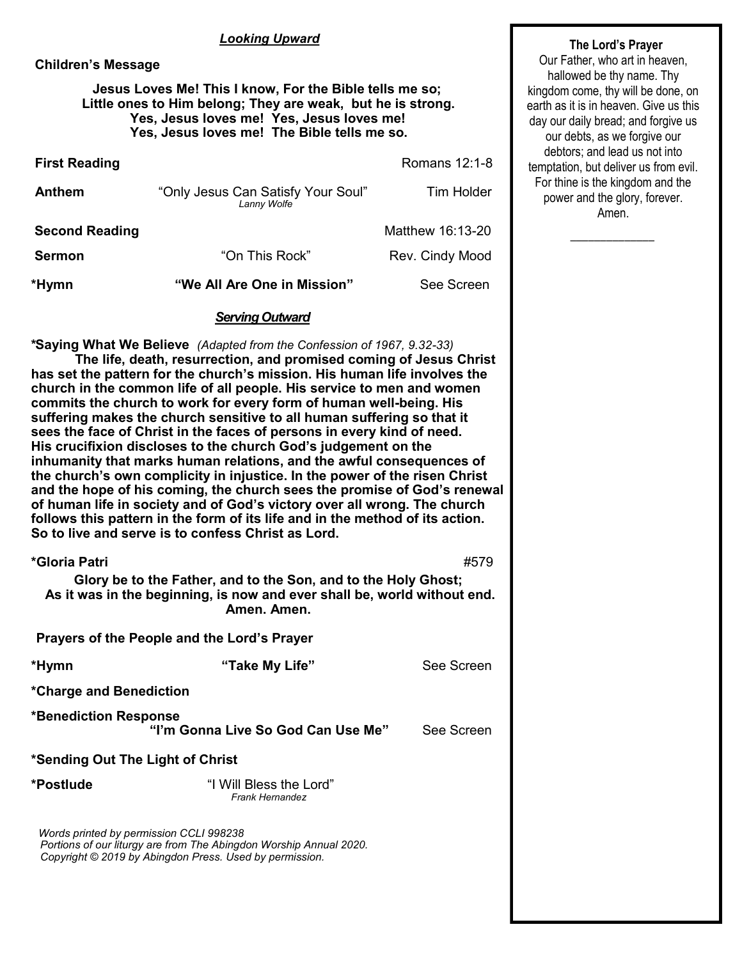## *Looking Upward*

#### **Children's Message**

## **Jesus Loves Me! This I know, For the Bible tells me so; Little ones to Him belong; They are weak, but he is strong. Yes, Jesus loves me! Yes, Jesus loves me! Yes, Jesus loves me! The Bible tells me so.**

| *Hymn                 | "We All Are One in Mission"                                            | See Screen       |  |
|-----------------------|------------------------------------------------------------------------|------------------|--|
| <b>Sermon</b>         | "On This Rock"                                                         | Rev. Cindy Mood  |  |
| <b>Second Reading</b> |                                                                        | Matthew 16:13-20 |  |
| Anthem                | "Only Jesus Can Satisfy Your Soul"<br><b>Tim Holder</b><br>Lanny Wolfe |                  |  |
| <b>First Reading</b>  |                                                                        | Romans 12:1-8    |  |

#### *Serving Outward*

**\*Saying What We Believe** *(Adapted from the Confession of 1967, 9.32-33)*

**The life, death, resurrection, and promised coming of Jesus Christ has set the pattern for the church's mission. His human life involves the church in the common life of all people. His service to men and women commits the church to work for every form of human well-being. His suffering makes the church sensitive to all human suffering so that it sees the face of Christ in the faces of persons in every kind of need. His crucifixion discloses to the church God's judgement on the inhumanity that marks human relations, and the awful consequences of the church's own complicity in injustice. In the power of the risen Christ and the hope of his coming, the church sees the promise of God's renewal of human life in society and of God's victory over all wrong. The church follows this pattern in the form of its life and in the method of its action. So to live and serve is to confess Christ as Lord.** 

| *Gloria Patri                           |                                                                                                                                                           | #579       |
|-----------------------------------------|-----------------------------------------------------------------------------------------------------------------------------------------------------------|------------|
|                                         | Glory be to the Father, and to the Son, and to the Holy Ghost;<br>As it was in the beginning, is now and ever shall be, world without end.<br>Amen. Amen. |            |
|                                         | Prayers of the People and the Lord's Prayer                                                                                                               |            |
| *Hymn                                   | "Take My Life"                                                                                                                                            | See Screen |
| *Charge and Benediction                 |                                                                                                                                                           |            |
| *Benediction Response                   | "I'm Gonna Live So God Can Use Me"                                                                                                                        | See Screen |
| *Sending Out The Light of Christ        |                                                                                                                                                           |            |
| *Postlude                               | "I Will Bless the Lord"<br><b>Frank Hernandez</b>                                                                                                         |            |
| Words printed by permission CCLI 998238 | Portions of our liturgy are from The Abingdon Worship Annual 2020.<br>Copyright © 2019 by Abingdon Press. Used by permission.                             |            |

#### **The Lord's Prayer**

Our Father, who art in heaven, hallowed be thy name. Thy kingdom come, thy will be done, on earth as it is in heaven. Give us this day our daily bread; and forgive us our debts, as we forgive our debtors; and lead us not into temptation, but deliver us from evil. For thine is the kingdom and the power and the glory, forever. Amen.

 $\overline{\phantom{a}}$  ,  $\overline{\phantom{a}}$  ,  $\overline{\phantom{a}}$  ,  $\overline{\phantom{a}}$  ,  $\overline{\phantom{a}}$  ,  $\overline{\phantom{a}}$  ,  $\overline{\phantom{a}}$  ,  $\overline{\phantom{a}}$  ,  $\overline{\phantom{a}}$  ,  $\overline{\phantom{a}}$  ,  $\overline{\phantom{a}}$  ,  $\overline{\phantom{a}}$  ,  $\overline{\phantom{a}}$  ,  $\overline{\phantom{a}}$  ,  $\overline{\phantom{a}}$  ,  $\overline{\phantom{a}}$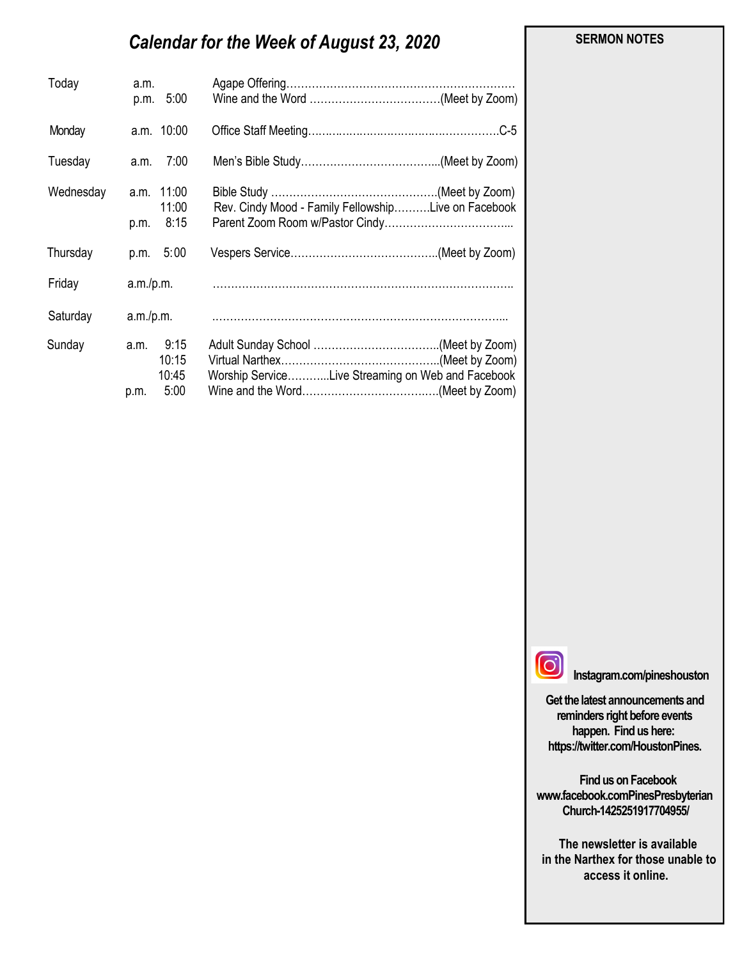# *Calendar for the Week of August 23, 2020*

| Today     | a.m.<br>p.m. 5:00   |                                                     |
|-----------|---------------------|-----------------------------------------------------|
| Monday    | a.m. 10:00          |                                                     |
| Tuesday   | 7:00<br>a.m.        |                                                     |
| Wednesday | a.m. 11:00<br>11:00 | Rev. Cindy Mood - Family FellowshipLive on Facebook |
|           | 8:15<br>p.m.        |                                                     |
| Thursday  | 5:00<br>p.m.        |                                                     |
| Friday    |                     |                                                     |
| Saturday  | a.m./p.m.           |                                                     |
| Sunday    | 9:15<br>a.m.        |                                                     |
|           | 10:15               |                                                     |
|           | 10:45               | Worship ServiceLive Streaming on Web and Facebook   |
|           | 5:00<br>p.m.        |                                                     |

#### **SERMON NOTES**

 $\Theta$ 

**Instagram.com/pineshouston**

**Get the latest announcements and reminders right before events happen. Find us here: https://twitter.com/HoustonPines.** 

 **Find us on Facebook www.facebook.comPinesPresbyterian Church-1425251917704955/**

 **The newsletter is available in the Narthex for those unable to access it online.**